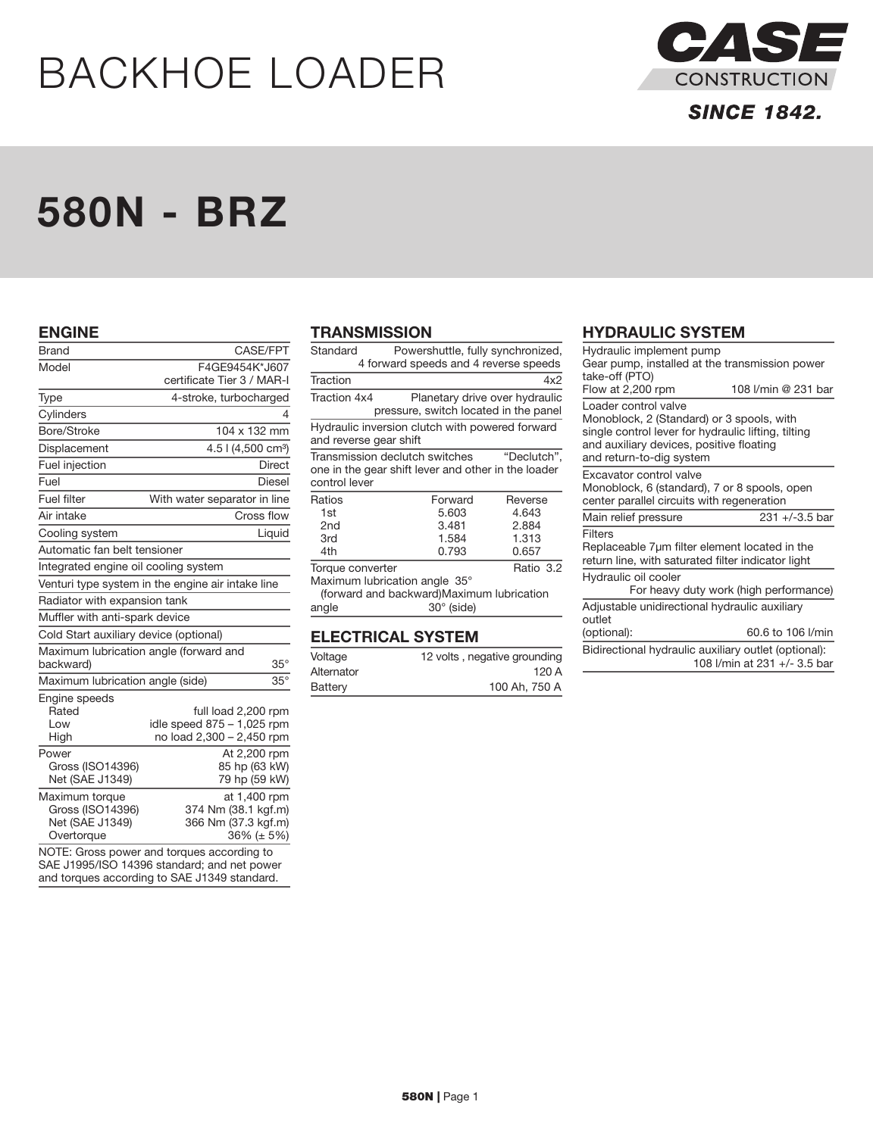# BACKHOE LOADER



## **SINCE 1842.**

## 580N - BRZ

#### ENGINE

| <b>Brand</b>                                                        | CASE/FPT                                                                       |
|---------------------------------------------------------------------|--------------------------------------------------------------------------------|
| Model                                                               | F4GE9454K*J607                                                                 |
|                                                                     | certificate Tier 3 / MAR-I                                                     |
| Type                                                                | 4-stroke, turbocharged                                                         |
| Cylinders                                                           | 4                                                                              |
| Bore/Stroke                                                         | 104 x 132 mm                                                                   |
| Displacement                                                        | 4.5   (4,500 cm <sup>3</sup> )                                                 |
| Fuel injection                                                      | <b>Direct</b>                                                                  |
| Fuel                                                                | Diesel                                                                         |
| Fuel filter                                                         | With water separator in line                                                   |
| Air intake                                                          | Cross flow                                                                     |
| Cooling system                                                      | Liquid                                                                         |
| Automatic fan belt tensioner                                        |                                                                                |
| Integrated engine oil cooling system                                |                                                                                |
|                                                                     | Venturi type system in the engine air intake line                              |
| Radiator with expansion tank                                        |                                                                                |
| Muffler with anti-spark device                                      |                                                                                |
| Cold Start auxiliary device (optional)                              |                                                                                |
| Maximum lubrication angle (forward and<br>backward)                 | $35^{\circ}$                                                                   |
| Maximum lubrication angle (side)                                    | $35^\circ$                                                                     |
| Engine speeds<br>Rated<br>Low<br>High                               | full load 2,200 rpm<br>idle speed 875 - 1,025 rpm<br>no load 2,300 - 2,450 rpm |
| Power<br>Gross (ISO14396)<br>Net (SAE J1349)                        | At 2,200 rpm<br>85 hp (63 kW)<br>79 hp (59 kW)                                 |
| Maximum torque<br>Gross (ISO14396)<br>Net (SAE J1349)<br>Overtorque | at 1,400 rpm<br>374 Nm (38.1 kgf.m)<br>366 Nm (37.3 kgf.m)<br>36% (± 5%)       |

NOTE: Gross power and torques according to SAE J1995/ISO 14396 standard; and net power and torques according to SAE J1349 standard.

#### **TRANSMISSION**

| Standard                                                                  | Powershuttle, fully synchronized,<br>4 forward speeds and 4 reverse speeds |  |
|---------------------------------------------------------------------------|----------------------------------------------------------------------------|--|
|                                                                           |                                                                            |  |
| Traction                                                                  | 4x2                                                                        |  |
| Traction 4x4                                                              | Planetary drive over hydraulic<br>pressure, switch located in the panel    |  |
| Hydraulic inversion clutch with powered forward<br>and reverse gear shift |                                                                            |  |

Transmission declutch switches "Declutch", one in the gear shift lever and other in the loader control lever

| Ratios           | Forward | Reverse   |
|------------------|---------|-----------|
| 1st              | 5.603   | 4.643     |
| 2nd              | 3.481   | 2.884     |
| 3rd              | 1.584   | 1.313     |
| 4th              | 0.793   | 0.657     |
| Torque converter |         | Ratio 3.2 |

Maximum lubrication angle 35° (forward and backward)Maximum lubrication

angle 30° (side)

## ELECTRICAL SYSTEM

| Voltage    | 12 volts, negative grounding |
|------------|------------------------------|
| Alternator | 120A                         |
| Battery    | 100 Ah, 750 A                |

### HYDRAULIC SYSTEM

| Hydraulic implement pump<br>Gear pump, installed at the transmission power                                                                                                                       |                                        |  |  |
|--------------------------------------------------------------------------------------------------------------------------------------------------------------------------------------------------|----------------------------------------|--|--|
| take-off (PTO)<br>108 I/min @ 231 bar<br>Flow at 2,200 rpm                                                                                                                                       |                                        |  |  |
| Loader control valve<br>Monoblock, 2 (Standard) or 3 spools, with<br>single control lever for hydraulic lifting, tilting<br>and auxiliary devices, positive floating<br>and return-to-dig system |                                        |  |  |
| Excavator control valve<br>Monoblock, 6 (standard), 7 or 8 spools, open<br>center parallel circuits with regeneration                                                                            |                                        |  |  |
| Main relief pressure                                                                                                                                                                             | $231 + (-3.5)$ bar                     |  |  |
| Filters<br>Replaceable 7µm filter element located in the<br>return line, with saturated filter indicator light                                                                                   |                                        |  |  |
| Hydraulic oil cooler                                                                                                                                                                             | For heavy duty work (high performance) |  |  |
| Adjustable unidirectional hydraulic auxiliary<br>outlet                                                                                                                                          |                                        |  |  |
| (optional):                                                                                                                                                                                      | 60.6 to 106 l/min                      |  |  |
| Bidirectional hydraulic auxiliary outlet (optional):                                                                                                                                             | 108 l/min at 231 +/- 3.5 bar           |  |  |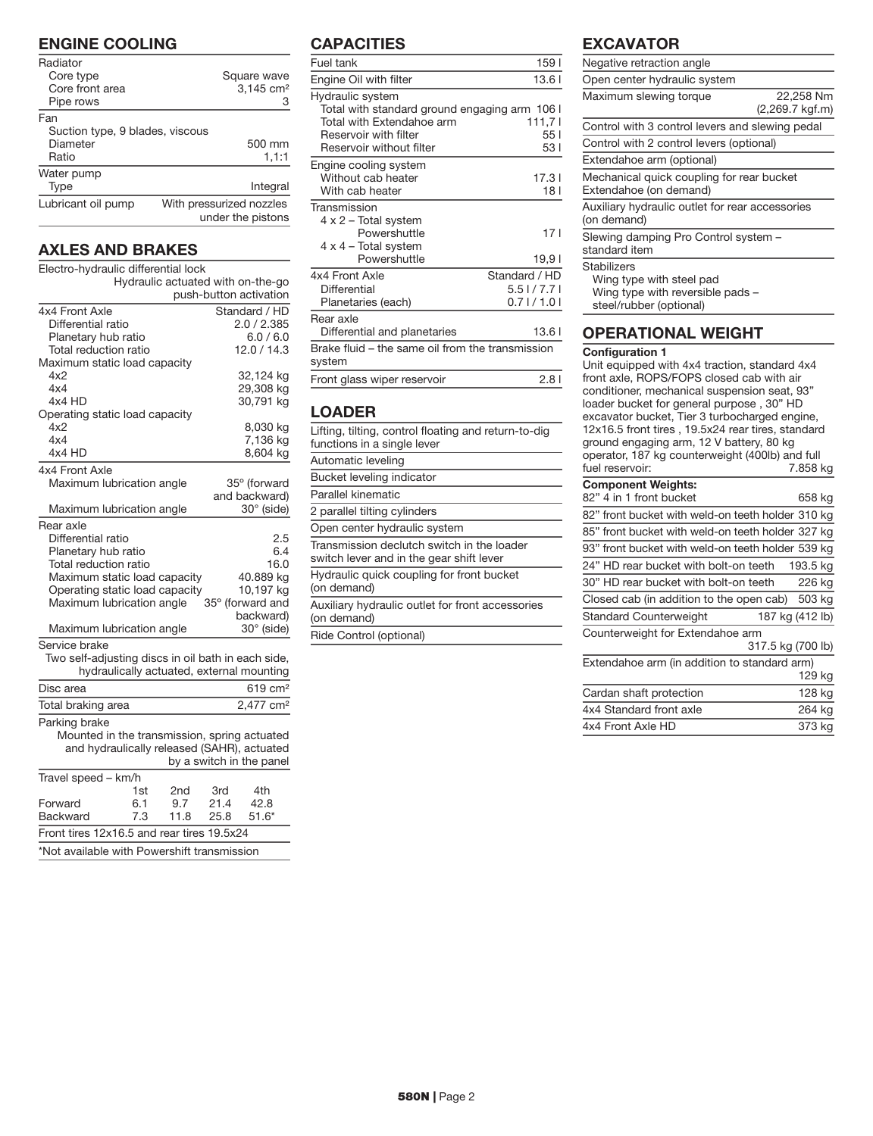## ENGINE COOLING

| Radiator<br>Core type<br>Core front area<br>Pipe rows       | Square wave<br>3,145 cm <sup>2</sup><br>З     |
|-------------------------------------------------------------|-----------------------------------------------|
| Fan<br>Suction type, 9 blades, viscous<br>Diameter<br>Ratio | 500 mm<br>1,1:1                               |
| Water pump<br>Type                                          | Integral                                      |
| Lubricant oil pump                                          | With pressurized nozzles<br>under the pistons |

## AXLES AND BRAKES

| Electro-hydraulic differential lock                |     |      |      |                                           |
|----------------------------------------------------|-----|------|------|-------------------------------------------|
| Hydraulic actuated with on-the-go                  |     |      |      |                                           |
| push-button activation                             |     |      |      |                                           |
| 4x4 Front Axle                                     |     |      |      | Standard / HD                             |
| Differential ratio                                 |     |      |      | 2.0 / 2.385                               |
| Planetary hub ratio                                |     |      |      | 6.0 / 6.0                                 |
| Total reduction ratio                              |     |      |      | 12.0/14.3                                 |
| Maximum static load capacity                       |     |      |      |                                           |
| 4x2                                                |     |      |      | 32,124 kg                                 |
| 4x4                                                |     |      |      | 29,308 kg                                 |
| 4x4 HD                                             |     |      |      | 30,791 kg                                 |
| Operating static load capacity<br>4x2              |     |      |      | 8,030 kg                                  |
| 4x4                                                |     |      |      | 7,136 kg                                  |
| 4x4 HD                                             |     |      |      | 8,604 kg                                  |
| 4x4 Front Axle                                     |     |      |      |                                           |
|                                                    |     |      |      | 35° (forward                              |
| Maximum lubrication angle                          |     |      |      | and backward)                             |
| Maximum lubrication angle                          |     |      |      | $30^\circ$ (side)                         |
| Rear axle                                          |     |      |      |                                           |
| Differential ratio                                 |     |      |      | 2.5                                       |
| Planetary hub ratio                                |     |      |      | 6.4                                       |
| Total reduction ratio                              |     |      |      | 16.0                                      |
| Maximum static load capacity                       |     |      |      | 40.889 kg                                 |
| Operating static load capacity                     |     |      |      | 10,197 kg                                 |
| Maximum lubrication angle                          |     |      |      | 35° (forward and                          |
|                                                    |     |      |      | backward)                                 |
| Maximum lubrication angle                          |     |      |      | $30^\circ$ (side)                         |
| Service brake                                      |     |      |      |                                           |
| Two self-adjusting discs in oil bath in each side, |     |      |      |                                           |
|                                                    |     |      |      | hydraulically actuated, external mounting |
| Disc area                                          |     |      |      | 619 cm <sup>2</sup>                       |
| Total braking area                                 |     |      |      | 2,477 cm <sup>2</sup>                     |
| Parking brake                                      |     |      |      |                                           |
| Mounted in the transmission, spring actuated       |     |      |      |                                           |
| and hydraulically released (SAHR), actuated        |     |      |      |                                           |
|                                                    |     |      |      | by a switch in the panel                  |
| Travel speed - km/h                                |     |      |      |                                           |
|                                                    | 1st | 2nd  | 3rd  | 4th                                       |
| Forward                                            | 6.1 | 9.7  | 21.4 | 42.8                                      |
| Backward                                           | 7.3 | 11.8 | 25.8 | $51.6*$                                   |
| Front tires 12x16.5 and rear tires 19.5x24         |     |      |      |                                           |

\*Not available with Powershift transmission

## **CAPACITIES**

| Fuel tank                                                  | 159 <sub>1</sub> |
|------------------------------------------------------------|------------------|
| Engine Oil with filter                                     | 13.61            |
| Hydraulic system                                           |                  |
| Total with standard ground engaging arm 106 I              |                  |
| Total with Extendahoe arm                                  | 111,71           |
| Reservoir with filter                                      | 551              |
| Reservoir without filter                                   | 531              |
| Engine cooling system                                      |                  |
| Without cab heater                                         | 17.31            |
| With cab heater                                            | 18 I             |
| Transmission                                               |                  |
| $4 \times 2$ – Total system                                |                  |
| Powershuttle                                               | 17 I             |
| 4 x 4 - Total system                                       |                  |
| Powershuttle                                               | 19,91            |
| 4x4 Front Axle                                             | Standard / HD    |
| Differential                                               | $5.5$ $1/7.7$ l  |
| Planetaries (each)                                         | $0.7$   $/$ 1.0  |
| Rear axle                                                  |                  |
| Differential and planetaries                               | 13.61            |
| Brake fluid – the same oil from the transmission<br>system |                  |
| Front glass wiper reservoir                                | 2.81             |

## LOADER

| Lifting, tilting, control floating and return-to-dig<br>functions in a single lever    |
|----------------------------------------------------------------------------------------|
| Automatic leveling                                                                     |
| Bucket leveling indicator                                                              |
| Parallel kinematic                                                                     |
| 2 parallel tilting cylinders                                                           |
| Open center hydraulic system                                                           |
| Transmission declutch switch in the loader<br>switch lever and in the gear shift lever |
| Hydraulic quick coupling for front bucket<br>(on demand)                               |
| Auxiliary hydraulic outlet for front accessories<br>(on demand)                        |
| Ride Control (optional)                                                                |

## EXCAVATOR

| Negative retraction angle                                                                                     |                              |
|---------------------------------------------------------------------------------------------------------------|------------------------------|
| Open center hydraulic system                                                                                  |                              |
| Maximum slewing torque                                                                                        | 22.258 Nm<br>(2,269.7 kgf.m) |
| Control with 3 control levers and slewing pedal                                                               |                              |
| Control with 2 control levers (optional)                                                                      |                              |
| Extendahoe arm (optional)                                                                                     |                              |
| Mechanical quick coupling for rear bucket<br>Extendahoe (on demand)                                           |                              |
| Auxiliary hydraulic outlet for rear accessories<br>(on demand)                                                |                              |
| Slewing damping Pro Control system -<br>standard item                                                         |                              |
| <b>Stabilizers</b><br>Wing type with steel pad<br>Wing type with reversible pads -<br>steel/rubber (optional) |                              |

Unit equipped with 4x4 traction, standard 4x4 front axle, ROPS/FOPS closed cab with air conditioner, mechanical suspension seat, 93" loader bucket for general purpose , 30" HD excavator bucket, Tier 3 turbocharged engine, 12x16.5 front tires , 19.5x24 rear tires, standard ground engaging arm, 12 V battery, 80 kg operator, 187 kg counterweight (400lb) and full fuel reservoir: 7.858 kg

| <b>Component Weights:</b>                         |          |  |
|---------------------------------------------------|----------|--|
| 82" 4 in 1 front bucket                           | 658 kg   |  |
| 82" front bucket with weld-on teeth holder 310 kg |          |  |
| 85" front bucket with weld-on teeth holder 327 kg |          |  |
| 93" front bucket with weld-on teeth holder 539 kg |          |  |
| 24" HD rear bucket with bolt-on teeth             | 193.5 kg |  |
| 30" HD rear bucket with bolt-on teeth             | 226 kg   |  |
| Closed cab (in addition to the open cab)          | 503 kg   |  |
| <b>Standard Counterweight</b><br>187 kg (412 lb)  |          |  |
| Counterweight for Extendahoe arm                  |          |  |
| 317.5 kg (700 lb)                                 |          |  |
| Extendahoe arm (in addition to standard arm)      |          |  |
|                                                   | 129 kg   |  |
| Cardan shaft protection                           | 128 kg   |  |
| 4x4 Standard front axle                           | 264 kg   |  |
| 4x4 Front Axle HD                                 | 373 kg   |  |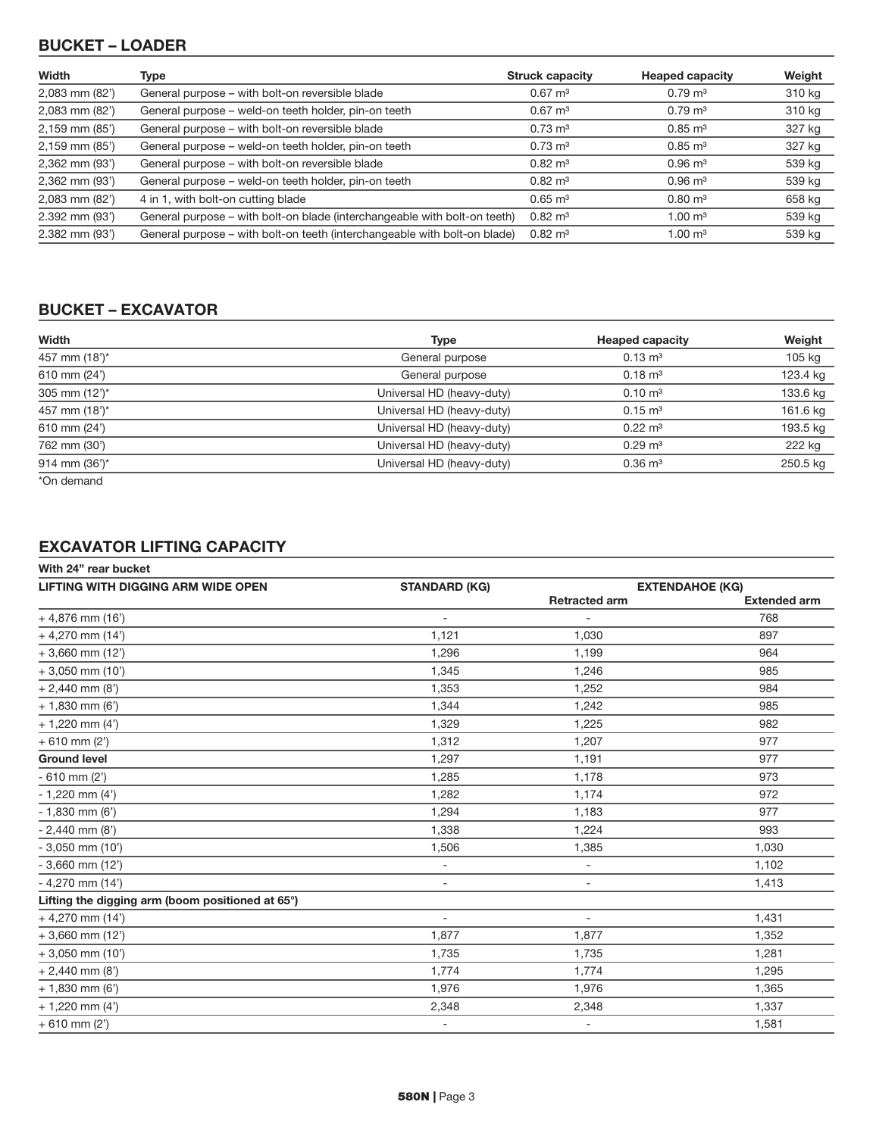## BUCKET – LOADER

| Width          | Type                                                                      | <b>Struck capacity</b> | <b>Heaped capacity</b> | Weight |
|----------------|---------------------------------------------------------------------------|------------------------|------------------------|--------|
| 2,083 mm (82') | General purpose – with bolt-on reversible blade                           | $0.67 \; \mathrm{m}^3$ | $0.79 \text{ m}^3$     | 310 kg |
| 2,083 mm (82') | General purpose – weld-on teeth holder, pin-on teeth                      | $0.67 \text{ m}^3$     | $0.79 \text{ m}^3$     | 310 kg |
| 2,159 mm (85') | General purpose – with bolt-on reversible blade                           | $0.73 \text{ m}^3$     | $0.85 \text{ m}^3$     | 327 kg |
| 2,159 mm (85') | General purpose – weld-on teeth holder, pin-on teeth                      | $0.73 \text{ m}^3$     | $0.85 \; \mathrm{m}^3$ | 327 kg |
| 2,362 mm (93') | General purpose – with bolt-on reversible blade                           | $0.82 \text{ m}^3$     | $0.96 \text{ m}^3$     | 539 kg |
| 2,362 mm (93') | General purpose – weld-on teeth holder, pin-on teeth                      | $0.82 \text{ m}^3$     | $0.96 \text{ m}^3$     | 539 kg |
| 2,083 mm (82') | 4 in 1, with bolt-on cutting blade                                        | $0.65 \; \mathrm{m}^3$ | $0.80 \; \mathrm{m}^3$ | 658 kg |
| 2.392 mm (93') | General purpose – with bolt-on blade (interchangeable with bolt-on teeth) | $0.82 \; \mathrm{m}^3$ | $1.00 \text{ m}^3$     | 539 kg |
| 2.382 mm (93') | General purpose – with bolt-on teeth (interchangeable with bolt-on blade) | $0.82 \; \mathrm{m}^3$ | $1.00 \; \text{m}^3$   | 539 kg |

## BUCKET – EXCAVATOR

| Width                    | <b>Type</b>               | <b>Heaped capacity</b> | Weight   |
|--------------------------|---------------------------|------------------------|----------|
| 457 mm (18')*            | General purpose           | $0.13 \text{ m}^3$     | 105 kg   |
| 610 mm (24')             | General purpose           | $0.18 \text{ m}^3$     | 123.4 kg |
| 305 mm $(12^{\prime})^*$ | Universal HD (heavy-duty) | $0.10 \text{ m}^3$     | 133.6 kg |
| 457 mm (18')*            | Universal HD (heavy-duty) | $0.15 \text{ m}^3$     | 161.6 kg |
| 610 mm (24')             | Universal HD (heavy-duty) | $0.22 \text{ m}^3$     | 193.5 kg |
| 762 mm (30')             | Universal HD (heavy-duty) | $0.29 \text{ m}^3$     | 222 kg   |
| 914 mm $(36^{\circ})^*$  | Universal HD (heavy-duty) | $0.36 \; \mathrm{m}^3$ | 250.5 kg |
| $* \cap \neg$ depend     |                           |                        |          |

\*On demand

## EXCAVATOR LIFTING CAPACITY

| <b>STANDARD (KG)</b>     |                          | <b>EXTENDAHOE (KG)</b> |
|--------------------------|--------------------------|------------------------|
|                          | <b>Retracted arm</b>     | <b>Extended arm</b>    |
| $\overline{\phantom{a}}$ | $\overline{\phantom{a}}$ | 768                    |
| 1,121                    | 1,030                    | 897                    |
| 1,296                    | 1.199                    | 964                    |
| 1,345                    | 1,246                    | 985                    |
| 1,353                    | 1,252                    | 984                    |
| 1,344                    | 1,242                    | 985                    |
| 1,329                    | 1,225                    | 982                    |
| 1,312                    | 1,207                    | 977                    |
| 1,297                    | 1,191                    | 977                    |
| 1,285                    | 1,178                    | 973                    |
| 1,282                    | 1,174                    | 972                    |
| 1,294                    | 1,183                    | 977                    |
| 1,338                    | 1,224                    | 993                    |
| 1,506                    | 1,385                    | 1,030                  |
| $\blacksquare$           | $\overline{\phantom{a}}$ | 1,102                  |
| $\overline{\phantom{a}}$ | $\overline{\phantom{a}}$ | 1,413                  |
|                          |                          |                        |
| $\overline{\phantom{a}}$ | $\overline{\phantom{a}}$ | 1,431                  |
| 1,877                    | 1,877                    | 1,352                  |
| 1,735                    | 1,735                    | 1,281                  |
| 1,774                    | 1,774                    | 1,295                  |
| 1,976                    | 1,976                    | 1,365                  |
| 2,348                    | 2,348                    | 1,337                  |
| $\overline{\phantom{a}}$ | $\overline{\phantom{a}}$ | 1,581                  |
|                          |                          |                        |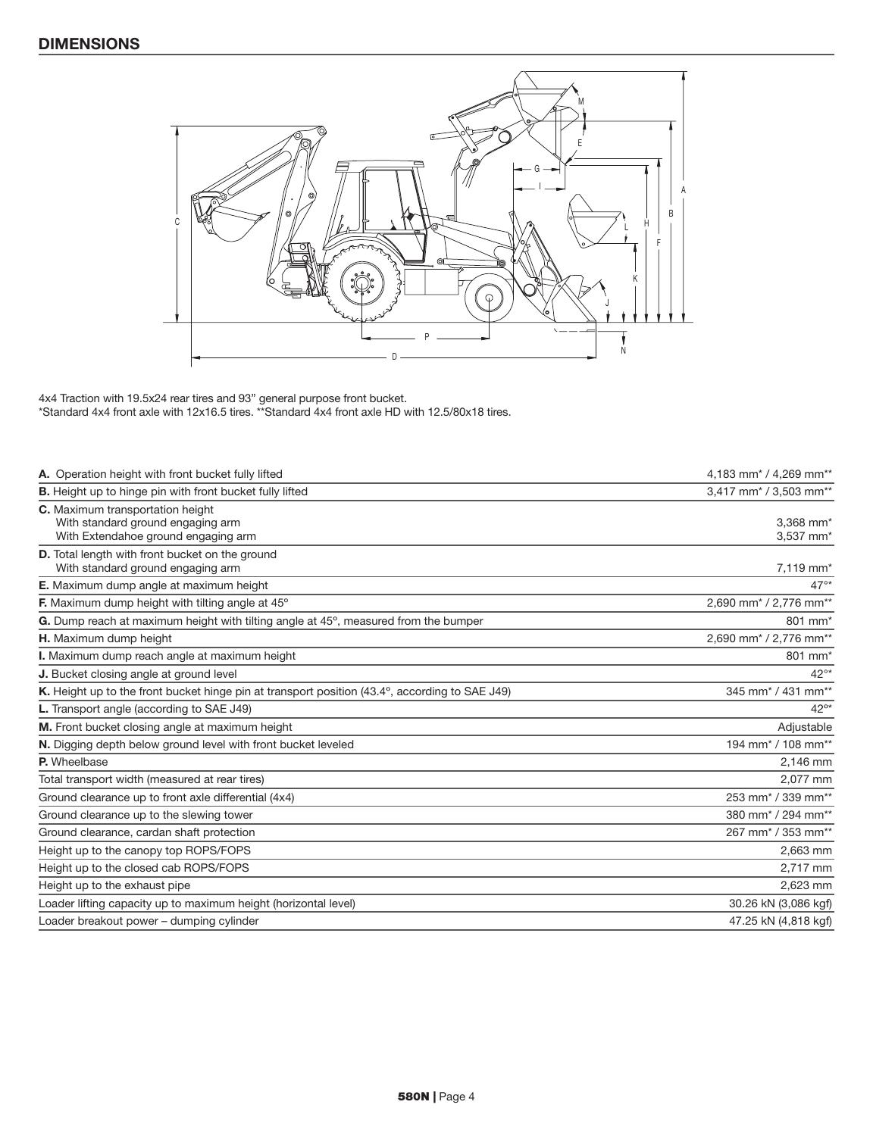

4x4 Traction with 19.5x24 rear tires and 93" general purpose front bucket. \*Standard 4x4 front axle with 12x16.5 tires. \*\*Standard 4x4 front axle HD with 12.5/80x18 tires.

| A. Operation height with front bucket fully lifted                                                           | 4,183 mm <sup>*</sup> / 4,269 mm <sup>**</sup> |
|--------------------------------------------------------------------------------------------------------------|------------------------------------------------|
| <b>B.</b> Height up to hinge pin with front bucket fully lifted                                              | 3,417 mm <sup>*</sup> / 3,503 mm <sup>**</sup> |
| C. Maximum transportation height<br>With standard ground engaging arm<br>With Extendahoe ground engaging arm | 3,368 mm*<br>3,537 mm*                         |
| D. Total length with front bucket on the ground<br>With standard ground engaging arm                         | 7,119 mm*                                      |
| E. Maximum dump angle at maximum height                                                                      | $47^{\circ*}$                                  |
| F. Maximum dump height with tilting angle at 45°                                                             | 2,690 mm <sup>*</sup> / 2,776 mm <sup>*</sup>  |
| G. Dump reach at maximum height with tilting angle at 45°, measured from the bumper                          | 801 mm <sup>*</sup>                            |
| H. Maximum dump height                                                                                       | 2,690 mm <sup>*</sup> / 2,776 mm <sup>**</sup> |
| I. Maximum dump reach angle at maximum height                                                                | 801 mm <sup>*</sup>                            |
| J. Bucket closing angle at ground level                                                                      | $42^{\circ*}$                                  |
| K. Height up to the front bucket hinge pin at transport position (43.4°, according to SAE J49)               | 345 mm <sup>*</sup> / 431 mm <sup>**</sup>     |
| L. Transport angle (according to SAE J49)                                                                    | $42^{\circ*}$                                  |
| M. Front bucket closing angle at maximum height                                                              | Adjustable                                     |
| N. Digging depth below ground level with front bucket leveled                                                | 194 mm <sup>*</sup> / 108 mm <sup>**</sup>     |
| P. Wheelbase                                                                                                 | 2,146 mm                                       |
| Total transport width (measured at rear tires)                                                               | 2,077 mm                                       |
| Ground clearance up to front axle differential (4x4)                                                         | 253 mm <sup>*</sup> / 339 mm <sup>**</sup>     |
| Ground clearance up to the slewing tower                                                                     | 380 mm <sup>*</sup> / 294 mm <sup>**</sup>     |
| Ground clearance, cardan shaft protection                                                                    | 267 mm <sup>*</sup> / 353 mm <sup>**</sup>     |
| Height up to the canopy top ROPS/FOPS                                                                        | 2,663 mm                                       |
| Height up to the closed cab ROPS/FOPS                                                                        | 2,717 mm                                       |
| Height up to the exhaust pipe                                                                                | 2,623 mm                                       |
| Loader lifting capacity up to maximum height (horizontal level)                                              | 30.26 kN (3,086 kgf)                           |
| Loader breakout power - dumping cylinder                                                                     | 47.25 kN (4,818 kgf)                           |
|                                                                                                              |                                                |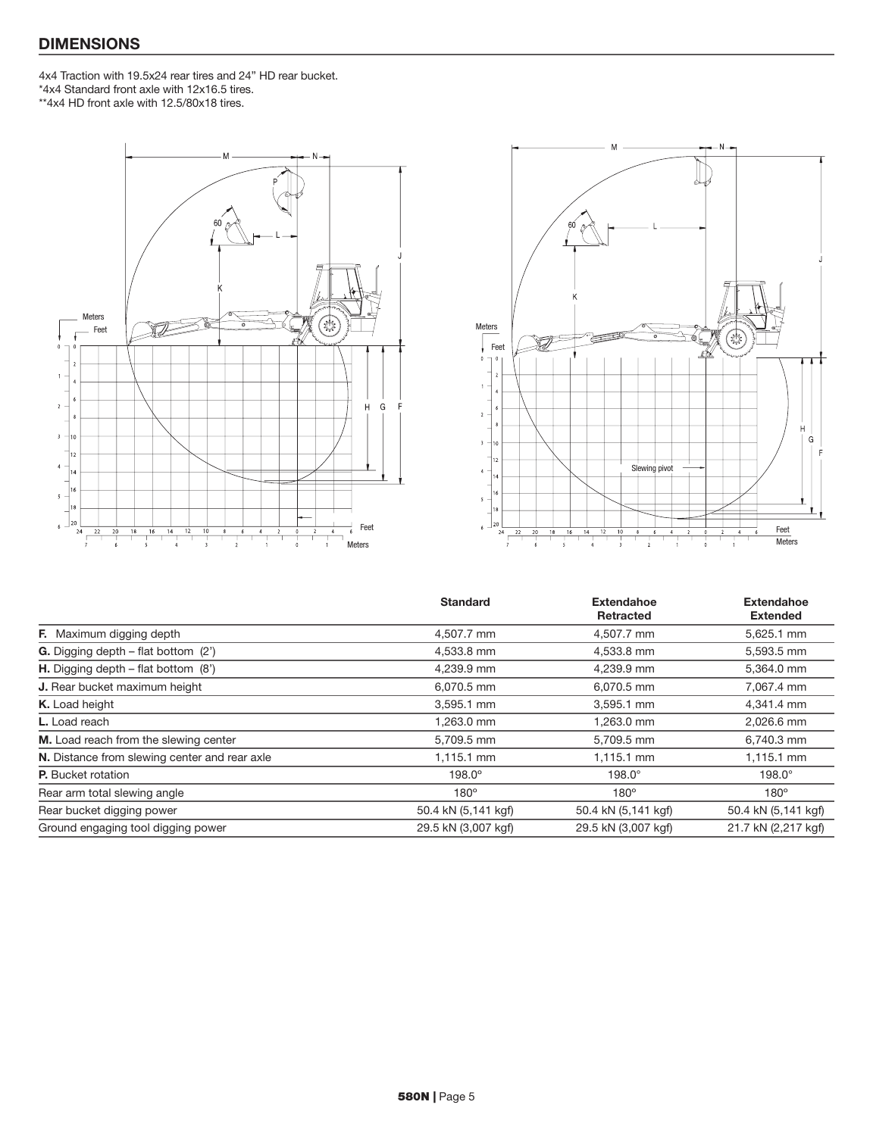## DIMENSIONS

4x4 Traction with 19.5x24 rear tires and 24" HD rear bucket. \*4x4 Standard front axle with 12x16.5 tires. \*\*4x4 HD front axle with 12.5/80x18 tires.





|                                                | <b>Standard</b>     | <b>Extendahoe</b>   | <b>Extendahoe</b>   |
|------------------------------------------------|---------------------|---------------------|---------------------|
|                                                |                     | Retracted           | <b>Extended</b>     |
| <b>F.</b> Maximum digging depth                | 4,507.7 mm          | 4,507.7 mm          | 5,625.1 mm          |
| <b>G.</b> Digging depth – flat bottom $(2')$   | 4,533.8 mm          | 4,533.8 mm          | 5,593.5 mm          |
| <b>H.</b> Digging depth $-$ flat bottom $(8')$ | 4,239.9 mm          | 4,239.9 mm          | 5,364.0 mm          |
| J. Rear bucket maximum height                  | 6,070.5 mm          | 6,070.5 mm          | 7,067.4 mm          |
| K. Load height                                 | 3,595.1 mm          | 3.595.1 mm          | 4,341.4 mm          |
| <b>L.</b> Load reach                           | 1,263.0 mm          | 1,263.0 mm          | 2,026.6 mm          |
| M. Load reach from the slewing center          | 5,709.5 mm          | 5,709.5 mm          | 6,740.3 mm          |
| N. Distance from slewing center and rear axle  | 1,115.1 mm          | 1,115.1 mm          | 1,115.1 mm          |
| <b>P.</b> Bucket rotation                      | $198.0^\circ$       | $198.0^\circ$       | $198.0^\circ$       |
| Rear arm total slewing angle                   | $180^\circ$         | $180^\circ$         | $180^\circ$         |
| Rear bucket digging power                      | 50.4 kN (5,141 kgf) | 50.4 kN (5,141 kgf) | 50.4 kN (5,141 kgf) |
| Ground engaging tool digging power             | 29.5 kN (3,007 kgf) | 29.5 kN (3,007 kgf) | 21.7 kN (2,217 kgf) |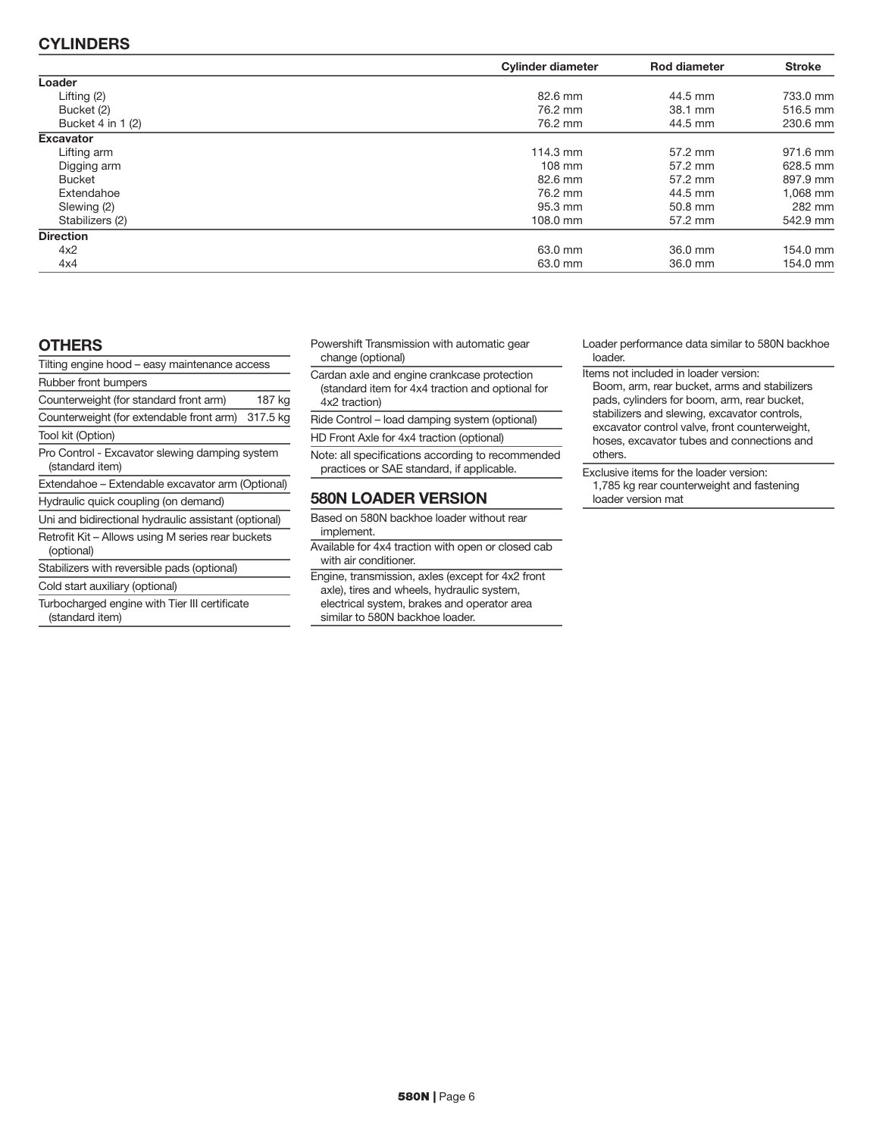## CYLINDERS

|                   | <b>Cylinder diameter</b> | <b>Rod diameter</b> | <b>Stroke</b> |
|-------------------|--------------------------|---------------------|---------------|
| Loader            |                          |                     |               |
| Lifting $(2)$     | 82.6 mm                  | 44.5 mm             | 733.0 mm      |
| Bucket (2)        | 76.2 mm                  | 38.1 mm             | 516.5 mm      |
| Bucket 4 in 1 (2) | 76.2 mm                  | 44.5 mm             | 230.6 mm      |
| <b>Excavator</b>  |                          |                     |               |
| Lifting arm       | 114.3 mm                 | 57.2 mm             | 971.6 mm      |
| Digging arm       | $108 \text{ mm}$         | 57.2 mm             | 628.5 mm      |
| <b>Bucket</b>     | 82.6 mm                  | 57.2 mm             | 897.9 mm      |
| Extendahoe        | 76.2 mm                  | 44.5 mm             | 1.068 mm      |
| Slewing (2)       | 95.3 mm                  | 50.8 mm             | 282 mm        |
| Stabilizers (2)   | 108.0 mm                 | 57.2 mm             | 542.9 mm      |
| <b>Direction</b>  |                          |                     |               |
| 4x2               | 63.0 mm                  | 36.0 mm             | 154.0 mm      |
| 4x4               | 63.0 mm                  | 36.0 mm             | 154.0 mm      |

#### **OTHERS**

| Tilting engine hood - easy maintenance access                     |          |  |
|-------------------------------------------------------------------|----------|--|
| Rubber front bumpers                                              |          |  |
| Counterweight (for standard front arm)                            | 187 kg   |  |
| Counterweight (for extendable front arm)                          | 317.5 kg |  |
| Tool kit (Option)                                                 |          |  |
| Pro Control - Excavator slewing damping system<br>(standard item) |          |  |
| Extendahoe – Extendable excavator arm (Optional)                  |          |  |
| Hydraulic quick coupling (on demand)                              |          |  |
| Uni and bidirectional hydraulic assistant (optional)              |          |  |
| Retrofit Kit – Allows using M series rear buckets<br>(optional)   |          |  |
| Stabilizers with reversible pads (optional)                       |          |  |
| Cold start auxiliary (optional)                                   |          |  |
|                                                                   |          |  |
| Turbocharged engine with Tier III certificate                     |          |  |

(standard item)

Powershift Transmission with automatic gear change (optional)

Cardan axle and engine crankcase protection (standard item for 4x4 traction and optional for 4x2 traction)

Ride Control – load damping system (optional)

HD Front Axle for 4x4 traction (optional)

Note: all specifications according to recommended practices or SAE standard, if applicable.

## 580N LOADER VERSION

- Based on 580N backhoe loader without rear implement.
- Available for 4x4 traction with open or closed cab with air conditioner.
- Engine, transmission, axles (except for 4x2 front axle), tires and wheels, hydraulic system, electrical system, brakes and operator area similar to 580N backhoe loader.

Loader performance data similar to 580N backhoe loader.

- Items not included in loader version:
- Boom, arm, rear bucket, arms and stabilizers pads, cylinders for boom, arm, rear bucket, stabilizers and slewing, excavator controls, excavator control valve, front counterweight, hoses, excavator tubes and connections and others.
- Exclusive items for the loader version: 1,785 kg rear counterweight and fastening loader version mat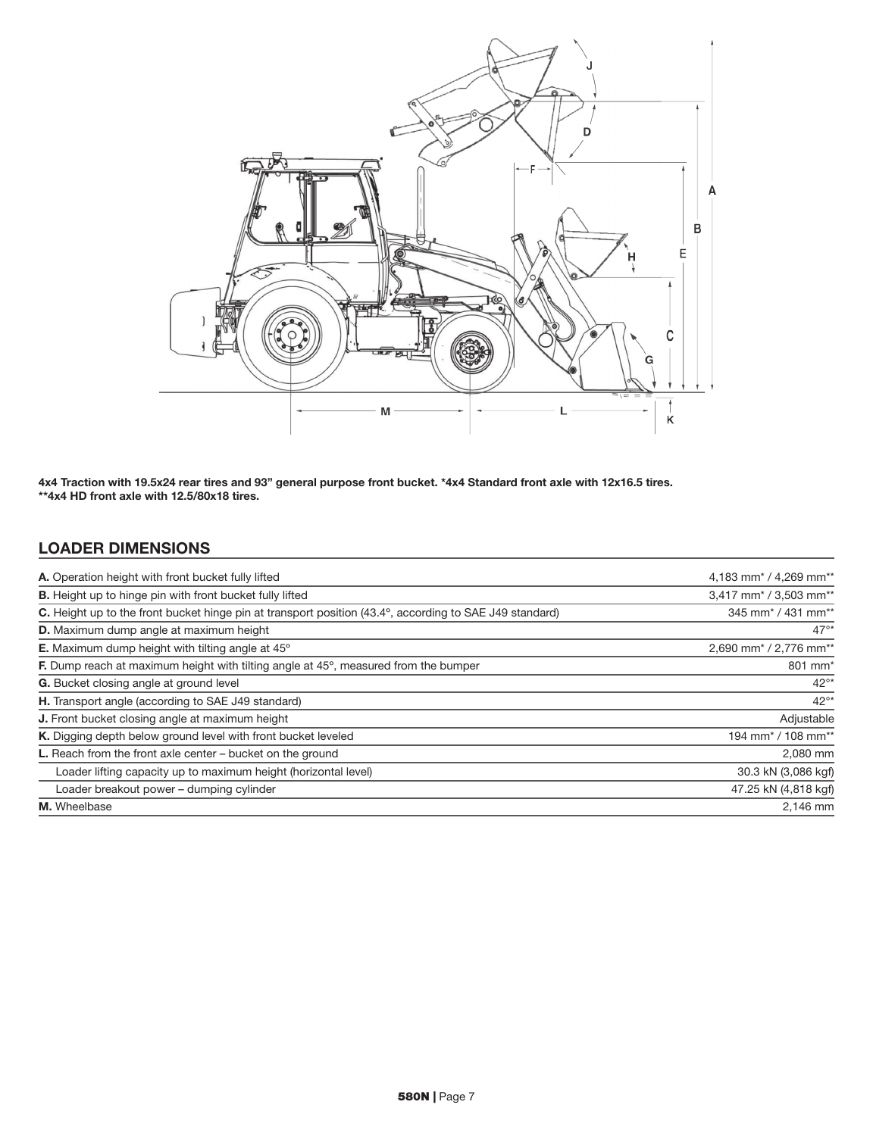

4x4 Traction with 19.5x24 rear tires and 93" general purpose front bucket. \*4x4 Standard front axle with 12x16.5 tires. \*\*4x4 HD front axle with 12.5/80x18 tires.

## LOADER DIMENSIONS

| A. Operation height with front bucket fully lifted                                                             | 4,183 mm <sup>*</sup> / 4,269 mm <sup>**</sup> |
|----------------------------------------------------------------------------------------------------------------|------------------------------------------------|
| <b>B.</b> Height up to hinge pin with front bucket fully lifted                                                | 3,417 mm <sup>*</sup> / 3,503 mm <sup>**</sup> |
| <b>C.</b> Height up to the front bucket hinge pin at transport position (43.4°, according to SAE J49 standard) | 345 mm <sup>*</sup> / 431 mm <sup>**</sup>     |
| <b>D.</b> Maximum dump angle at maximum height                                                                 | $47^{\circ*}$                                  |
| <b>E.</b> Maximum dump height with tilting angle at 45°                                                        | 2,690 mm <sup>*</sup> / 2,776 mm <sup>**</sup> |
| <b>F.</b> Dump reach at maximum height with tilting angle at 45°, measured from the bumper                     | 801 mm <sup>*</sup>                            |
| G. Bucket closing angle at ground level                                                                        | $42^{\circ*}$                                  |
| H. Transport angle (according to SAE J49 standard)                                                             | $42^{\circ*}$                                  |
| J. Front bucket closing angle at maximum height                                                                | Adjustable                                     |
| K. Digging depth below ground level with front bucket leveled                                                  | 194 mm <sup>*</sup> / 108 mm <sup>**</sup>     |
| L. Reach from the front axle center – bucket on the ground                                                     | 2,080 mm                                       |
| Loader lifting capacity up to maximum height (horizontal level)                                                | 30.3 kN (3,086 kgf)                            |
| Loader breakout power - dumping cylinder                                                                       | 47.25 kN (4,818 kgf)                           |
| M. Wheelbase                                                                                                   | 2.146 mm                                       |